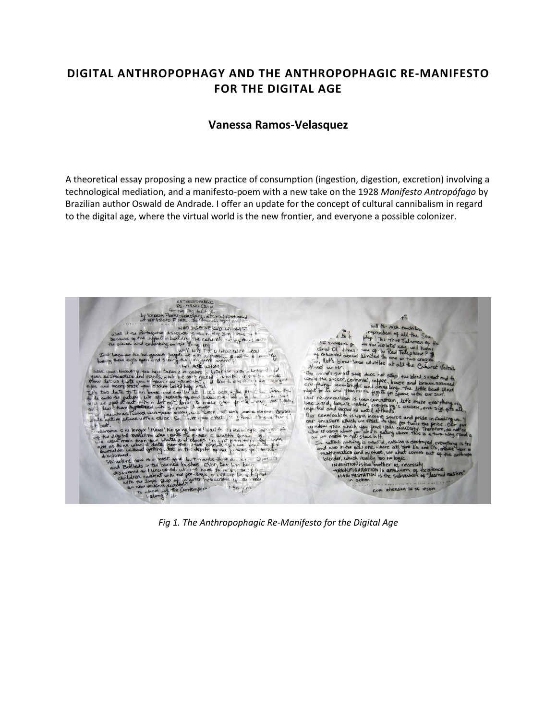# **DIGITAL ANTHROPOPHAGY AND THE ANTHROPOPHAGIC RE-MANIFESTO FOR THE DIGITAL AGE**

# **Vanessa Ramos-Velasquez**

A theoretical essay proposing a new practice of consumption (ingestion, digestion, excretion) involving a technological mediation, and a manifesto-poem with a new take on the 1928 *Manifesto Antropófago* by Brazilian author Oswald de Andrade. I offer an update for the concept of cultural cannibalism in regard to the digital age, where the virtual world is the new frontier, and everyone a possible colonizer.

*Fig 1. The Anthropophagic Re-Manifesto for the Digital Age*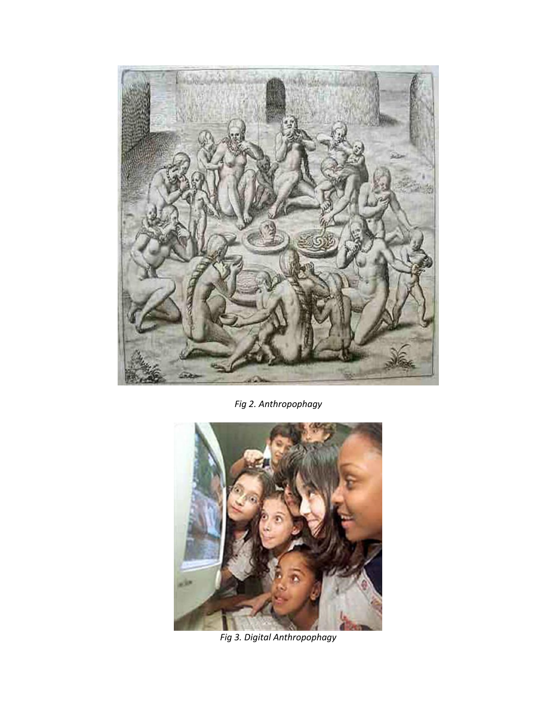

*Fig 2. Anthropophagy*



*Fig 3. Digital Anthropophagy*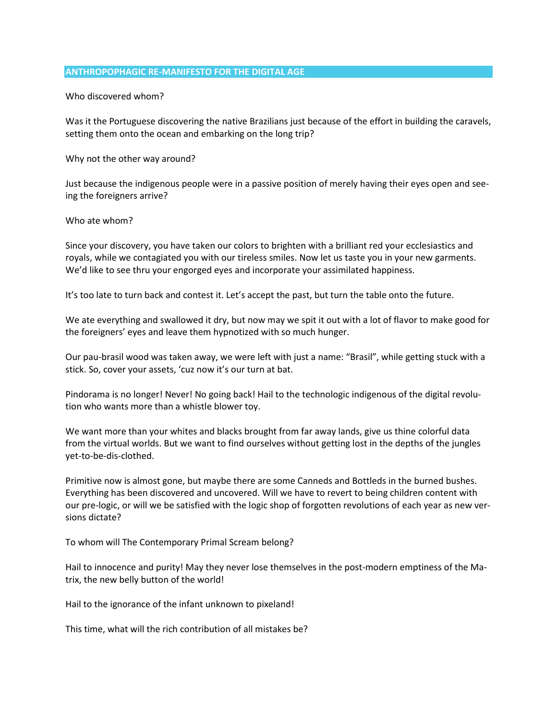#### **ANTHROPOPHAGIC RE-MANIFESTO FOR THE DIGITAL AGE**

Who discovered whom?

Was it the Portuguese discovering the native Brazilians just because of the effort in building the caravels, setting them onto the ocean and embarking on the long trip?

Why not the other way around?

Just because the indigenous people were in a passive position of merely having their eyes open and seeing the foreigners arrive?

Who ate whom?

Since your discovery, you have taken our colors to brighten with a brilliant red your ecclesiastics and royals, while we contagiated you with our tireless smiles. Now let us taste you in your new garments. We'd like to see thru your engorged eyes and incorporate your assimilated happiness.

It's too late to turn back and contest it. Let's accept the past, but turn the table onto the future.

We ate everything and swallowed it dry, but now may we spit it out with a lot of flavor to make good for the foreigners' eyes and leave them hypnotized with so much hunger.

Our pau-brasil wood was taken away, we were left with just a name: "Brasil", while getting stuck with a stick. So, cover your assets, 'cuz now it's our turn at bat.

Pindorama is no longer! Never! No going back! Hail to the technologic indigenous of the digital revolution who wants more than a whistle blower toy.

We want more than your whites and blacks brought from far away lands, give us thine colorful data from the virtual worlds. But we want to find ourselves without getting lost in the depths of the jungles yet-to-be-dis-clothed.

Primitive now is almost gone, but maybe there are some Canneds and Bottleds in the burned bushes. Everything has been discovered and uncovered. Will we have to revert to being children content with our pre-logic, or will we be satisfied with the logic shop of forgotten revolutions of each year as new versions dictate?

To whom will The Contemporary Primal Scream belong?

Hail to innocence and purity! May they never lose themselves in the post-modern emptiness of the Matrix, the new belly button of the world!

Hail to the ignorance of the infant unknown to pixeland!

This time, what will the rich contribution of all mistakes be?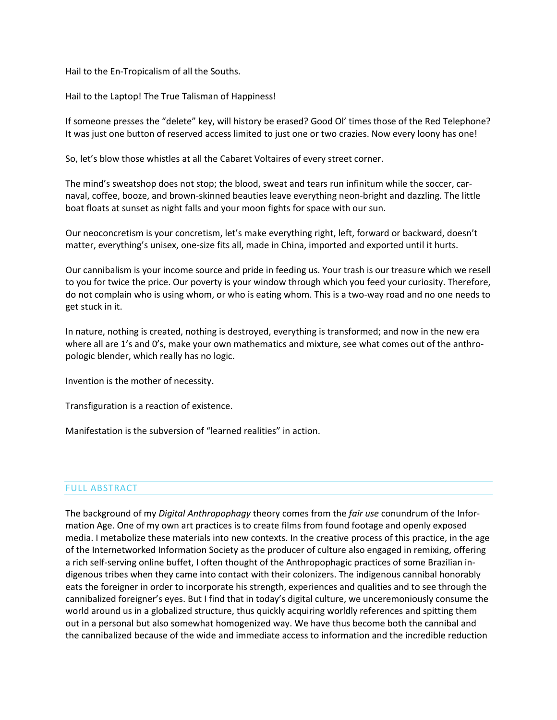Hail to the En-Tropicalism of all the Souths.

Hail to the Laptop! The True Talisman of Happiness!

If someone presses the "delete" key, will history be erased? Good Ol' times those of the Red Telephone? It was just one button of reserved access limited to just one or two crazies. Now every loony has one!

So, let's blow those whistles at all the Cabaret Voltaires of every street corner.

The mind's sweatshop does not stop; the blood, sweat and tears run infinitum while the soccer, carnaval, coffee, booze, and brown-skinned beauties leave everything neon-bright and dazzling. The little boat floats at sunset as night falls and your moon fights for space with our sun.

Our neoconcretism is your concretism, let's make everything right, left, forward or backward, doesn't matter, everything's unisex, one-size fits all, made in China, imported and exported until it hurts.

Our cannibalism is your income source and pride in feeding us. Your trash is our treasure which we resell to you for twice the price. Our poverty is your window through which you feed your curiosity. Therefore, do not complain who is using whom, or who is eating whom. This is a two-way road and no one needs to get stuck in it.

In nature, nothing is created, nothing is destroyed, everything is transformed; and now in the new era where all are 1's and 0's, make your own mathematics and mixture, see what comes out of the anthropologic blender, which really has no logic.

Invention is the mother of necessity.

Transfiguration is a reaction of existence.

Manifestation is the subversion of "learned realities" in action.

### FULL ABSTRACT

The background of my *Digital Anthropophagy* theory comes from the *fair use* conundrum of the Information Age. One of my own art practices is to create films from found footage and openly exposed media. I metabolize these materials into new contexts. In the creative process of this practice, in the age of the Internetworked Information Society as the producer of culture also engaged in remixing, offering a rich self-serving online buffet, I often thought of the Anthropophagic practices of some Brazilian indigenous tribes when they came into contact with their colonizers. The indigenous cannibal honorably eats the foreigner in order to incorporate his strength, experiences and qualities and to see through the cannibalized foreigner's eyes. But I find that in today's digital culture, we unceremoniously consume the world around us in a globalized structure, thus quickly acquiring worldly references and spitting them out in a personal but also somewhat homogenized way. We have thus become both the cannibal and the cannibalized because of the wide and immediate access to information and the incredible reduction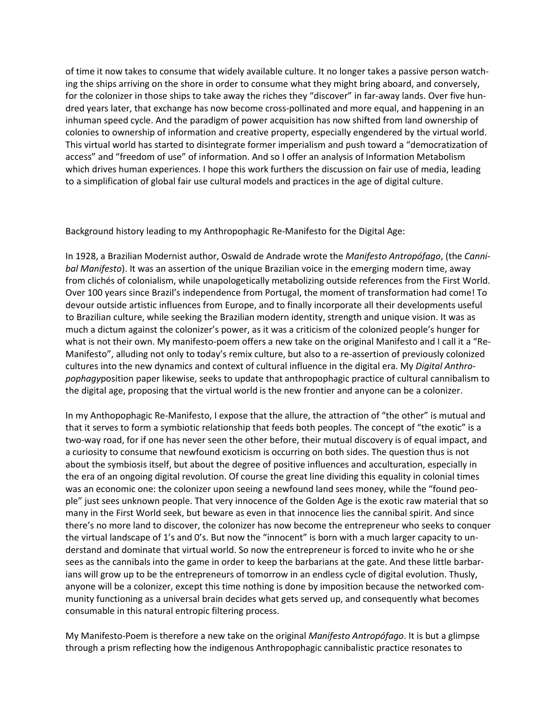of time it now takes to consume that widely available culture. It no longer takes a passive person watching the ships arriving on the shore in order to consume what they might bring aboard, and conversely, for the colonizer in those ships to take away the riches they "discover" in far-away lands. Over five hundred years later, that exchange has now become cross-pollinated and more equal, and happening in an inhuman speed cycle. And the paradigm of power acquisition has now shifted from land ownership of colonies to ownership of information and creative property, especially engendered by the virtual world. This virtual world has started to disintegrate former imperialism and push toward a "democratization of access" and "freedom of use" of information. And so I offer an analysis of Information Metabolism which drives human experiences. I hope this work furthers the discussion on fair use of media, leading to a simplification of global fair use cultural models and practices in the age of digital culture.

Background history leading to my Anthropophagic Re-Manifesto for the Digital Age:

In 1928, a Brazilian Modernist author, Oswald de Andrade wrote the *Manifesto Antropófago*, (the *Cannibal Manifesto*). It was an assertion of the unique Brazilian voice in the emerging modern time, away from clichés of colonialism, while unapologetically metabolizing outside references from the First World. Over 100 years since Brazil's independence from Portugal, the moment of transformation had come! To devour outside artistic influences from Europe, and to finally incorporate all their developments useful to Brazilian culture, while seeking the Brazilian modern identity, strength and unique vision. It was as much a dictum against the colonizer's power, as it was a criticism of the colonized people's hunger for what is not their own. My manifesto-poem offers a new take on the original Manifesto and I call it a "Re-Manifesto", alluding not only to today's remix culture, but also to a re-assertion of previously colonized cultures into the new dynamics and context of cultural influence in the digital era. My *Digital Anthropophagy*position paper likewise, seeks to update that anthropophagic practice of cultural cannibalism to the digital age, proposing that the virtual world is the new frontier and anyone can be a colonizer.

In my Anthopophagic Re-Manifesto, I expose that the allure, the attraction of "the other" is mutual and that it serves to form a symbiotic relationship that feeds both peoples. The concept of "the exotic" is a two-way road, for if one has never seen the other before, their mutual discovery is of equal impact, and a curiosity to consume that newfound exoticism is occurring on both sides. The question thus is not about the symbiosis itself, but about the degree of positive influences and acculturation, especially in the era of an ongoing digital revolution. Of course the great line dividing this equality in colonial times was an economic one: the colonizer upon seeing a newfound land sees money, while the "found people" just sees unknown people. That very innocence of the Golden Age is the exotic raw material that so many in the First World seek, but beware as even in that innocence lies the cannibal spirit. And since there's no more land to discover, the colonizer has now become the entrepreneur who seeks to conquer the virtual landscape of 1's and 0's. But now the "innocent" is born with a much larger capacity to understand and dominate that virtual world. So now the entrepreneur is forced to invite who he or she sees as the cannibals into the game in order to keep the barbarians at the gate. And these little barbarians will grow up to be the entrepreneurs of tomorrow in an endless cycle of digital evolution. Thusly, anyone will be a colonizer, except this time nothing is done by imposition because the networked community functioning as a universal brain decides what gets served up, and consequently what becomes consumable in this natural entropic filtering process.

My Manifesto-Poem is therefore a new take on the original *Manifesto Antropófago*. It is but a glimpse through a prism reflecting how the indigenous Anthropophagic cannibalistic practice resonates to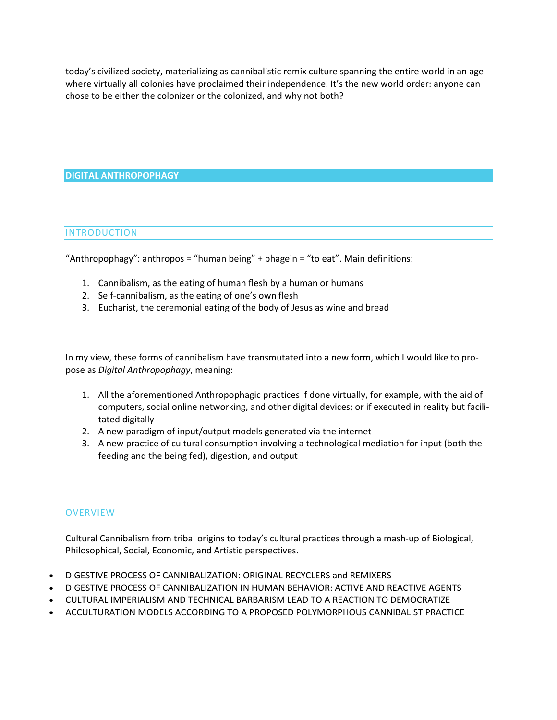today's civilized society, materializing as cannibalistic remix culture spanning the entire world in an age where virtually all colonies have proclaimed their independence. It's the new world order: anyone can chose to be either the colonizer or the colonized, and why not both?

**DIGITAL ANTHROPOPHAGY**

### INTRODUCTION

"Anthropophagy": anthropos = "human being" + phagein = "to eat". Main definitions:

- 1. Cannibalism, as the eating of human flesh by a human or humans
- 2. Self-cannibalism, as the eating of one's own flesh
- 3. Eucharist, the ceremonial eating of the body of Jesus as wine and bread

In my view, these forms of cannibalism have transmutated into a new form, which I would like to propose as *Digital Anthropophagy*, meaning:

- 1. All the aforementioned Anthropophagic practices if done virtually, for example, with the aid of computers, social online networking, and other digital devices; or if executed in reality but facilitated digitally
- 2. A new paradigm of input/output models generated via the internet
- 3. A new practice of cultural consumption involving a technological mediation for input (both the feeding and the being fed), digestion, and output

### **OVERVIEW**

Cultural Cannibalism from tribal origins to today's cultural practices through a mash-up of Biological, Philosophical, Social, Economic, and Artistic perspectives.

- DIGESTIVE PROCESS OF CANNIBALIZATION: ORIGINAL RECYCLERS and REMIXERS
- DIGESTIVE PROCESS OF CANNIBALIZATION IN HUMAN BEHAVIOR: ACTIVE AND REACTIVE AGENTS
- CULTURAL IMPERIALISM AND TECHNICAL BARBARISM LEAD TO A REACTION TO DEMOCRATIZE
- ACCULTURATION MODELS ACCORDING TO A PROPOSED POLYMORPHOUS CANNIBALIST PRACTICE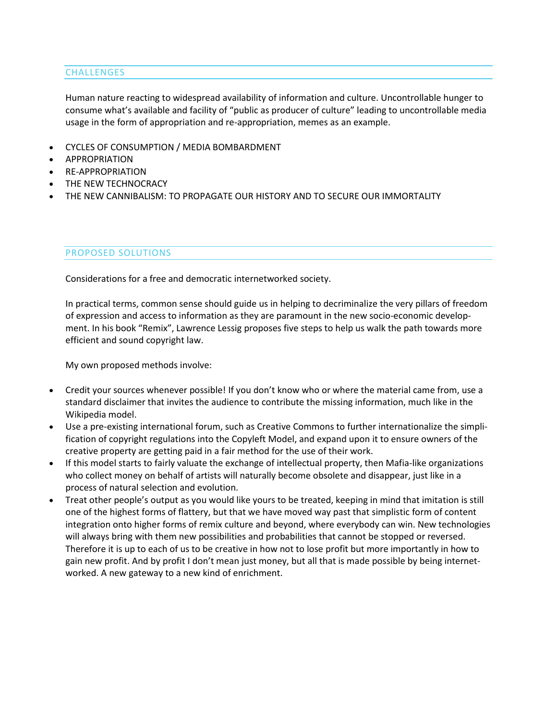## **CHALLENGES**

Human nature reacting to widespread availability of information and culture. Uncontrollable hunger to consume what's available and facility of "public as producer of culture" leading to uncontrollable media usage in the form of appropriation and re-appropriation, memes as an example.

- CYCLES OF CONSUMPTION / MEDIA BOMBARDMENT
- APPROPRIATION
- RE-APPROPRIATION
- THE NEW TECHNOCRACY
- THE NEW CANNIBALISM: TO PROPAGATE OUR HISTORY AND TO SECURE OUR IMMORTALITY

### PROPOSED SOLUTIONS

Considerations for a free and democratic internetworked society.

In practical terms, common sense should guide us in helping to decriminalize the very pillars of freedom of expression and access to information as they are paramount in the new socio-economic development. In his book "Remix", Lawrence Lessig proposes five steps to help us walk the path towards more efficient and sound copyright law.

My own proposed methods involve:

- Credit your sources whenever possible! If you don't know who or where the material came from, use a standard disclaimer that invites the audience to contribute the missing information, much like in the Wikipedia model.
- Use a pre-existing international forum, such as Creative Commons to further internationalize the simplification of copyright regulations into the Copyleft Model, and expand upon it to ensure owners of the creative property are getting paid in a fair method for the use of their work.
- If this model starts to fairly valuate the exchange of intellectual property, then Mafia-like organizations who collect money on behalf of artists will naturally become obsolete and disappear, just like in a process of natural selection and evolution.
- Treat other people's output as you would like yours to be treated, keeping in mind that imitation is still one of the highest forms of flattery, but that we have moved way past that simplistic form of content integration onto higher forms of remix culture and beyond, where everybody can win. New technologies will always bring with them new possibilities and probabilities that cannot be stopped or reversed. Therefore it is up to each of us to be creative in how not to lose profit but more importantly in how to gain new profit. And by profit I don't mean just money, but all that is made possible by being internetworked. A new gateway to a new kind of enrichment.